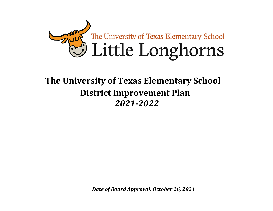

# **The University of Texas Elementary School District Improvement Plan** *2021-2022*

*Date of Board Approval: October 26, 2021*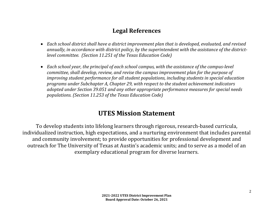# **Legal References**

- *Each school district shall have a district improvement plan that is developed, evaluated, and revised annually, in accordance with district policy, by the superintendent with the assistance of the districtlevel committee. (Section 11.251 of the Texas Education Code)*
- *Each school year, the principal of each school campus, with the assistance of the campus-level committee, shall develop, review, and revise the campus improvement plan for the purpose of improving student performance for all student populations, including students in special education programs under Subchapter A, Chapter 29, with respect to the student achievement indicators adopted under Section 39.051 and any other appropriate performance measures for special needs populations. (Section 11.253 of the Texas Education Code)*

# **UTES Mission Statement**

To develop students into lifelong learners through rigorous, research-based curricula, individualized instruction, high expectations, and a nurturing environment that includes parental and community involvement; to provide opportunities for professional development and outreach for The University of Texas at Austin's academic units; and to serve as a model of an exemplary educational program for diverse learners.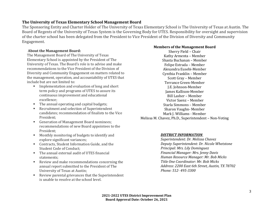#### **The University of Texas Elementary School Management Board**

The Sponsoring Entity and Charter Holder of The University of Texas Elementary School is The University of Texas at Austin. The Board of Regents of the University of Texas System is the Governing Body for UTES. Responsibility for oversight and supervision of the charter school has been delegated from the President to Vice President of the Division of Diversity and Community Engagement.

#### **About the Management Board:**

The Management Board of The University of Texas Elementary School is appointed by the President of The University of Texas. The Board's role is to advise and make recommendations to the Vice President of the Division of Diversity and Community Engagement on matters related to the management, operation, and accountability of UTES that include but are not limited to:

- Implementation and evaluation of long and short term policy and programs of UTES to assure its continuous improvement and educational excellence;
- The annual operating and capital budgets;
- Recruitment and selection of Superintendent candidates; recommendation of finalists to the Vice President;
- Generation of Management Board nominees; recommendations of new Board appointees to the President;
- Monthly monitoring of budgets to identify and explore significant variances;
- Contracts, Student Information Guide, and the Student Code of Conduct;
- The annual external audit of UTES financial statements;
- Review and make recommendations concerning the annual report submitted to the President of The University of Texas at Austin;
- Review parental grievances that the Superintendent is unable to resolve at the school level.

#### **Members of the Management Board**

Sherry Field – Chair Kathy Armenta – Member Shasta Buchanan – Member Felipe Estrada – Member Alexandra Eusebi-Member Cynthia Franklin – Member Scott Gray – Member Terrance Green-Member J.E. Johnson-Member James Kallison-Member Bill Lasher – Member Victor Saenz – Member Starla Simmons – Member Sharon Vaughn- Member Mark J. Williams - Member Melissa M. Chavez, Ph.D., Superintendent – Non-Voting

#### *DISTRICT INFORMATION*

*Superintendent: Dr. Melissa Chavez Deputy Superintendent: Dr. Nicole Whetstone Principal: Mrs. Lily Dominguez Financial Manager: Mrs. Jenny Davis Human Resource Manager: Mr. Bob Micks Title One Coordinator: Mr. Bob Micks Address: 2200 East 6th Street, Austin, TX 78702 Phone: 512- 495-3300*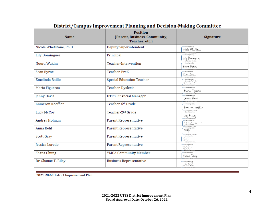| <b>Name</b>             | <b>Position</b><br>(Parent, Business, Community,<br>Teacher, etc.) | <b>Signature</b>                   |
|-------------------------|--------------------------------------------------------------------|------------------------------------|
| Nicole Whetstone, Ph.D. | Deputy Superintendent                                              | DocuSigned by:<br>Mede Whitstone   |
| <b>Lily Dominguez</b>   | Principal                                                          | DocuSigned by:<br>lily Dominguez   |
| Noura Wakim             | Teacher-Intervention                                               | DocuSigned by:<br>Noura Wakim      |
| Sean Byrne              | Teacher-PreK                                                       | DocuSigned by:<br>Stan Binu        |
| Emelinda Baillo         | Special Education Teacher                                          | <b>DocuSigned by:</b><br>grughills |
| Maria Figueroa          | Teacher-Dyslexia                                                   | DocuSigned by:<br>Maria Figueroa   |
| Jenny Davis             | <b>UTES Financial Manager</b>                                      | DocuSigned by:<br>Jenny Davis      |
| Kameron Koeffler        | Teacher-5th Grade                                                  | DocuSigned by:<br>kamıron koıfflır |
| Lucy McCoy              | Teacher-2 <sup>nd</sup> Grade                                      | DocuSigned by<br>lwy Meloy         |
| Andrea Holman           | Parent Representative                                              | DocuSigned by<br>20.54             |
| Anna Kehl               | Parent Representative                                              | Docutigned by:<br><b>水砂</b>        |
| Scott Gray              | Parent Representative                                              | DocuSigned by:<br>$4/7 -$          |
| Jessica Loredo          | Parent Representative                                              | DocuSigned by<br>AC                |
| Shana Chung             | YMCA Community Member                                              | DocuSigned by:<br>Shana (tumg      |
| Dr. Shanae T. Riley     | <b>Business Representative</b>                                     | DocuSigned by<br>D 8 P             |

# District/Campus Improvement Planning and Decision-Making Committee

2021-2022 District Improvement Plan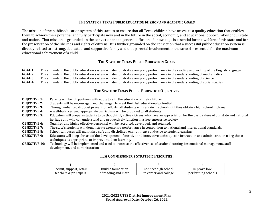#### **THE STATE OF TEXAS PUBLIC EDUCATION MISSION AND ACADEMIC GOALS**

The mission of the public education system of this state is to ensure that all Texas children have access to a quality education that enables them to achieve their potential and fully participate now and in the future in the social, economic, and educational opportunities of our state and nation. That mission is grounded on the conviction that a general diffusion of knowledge is essential for the welfare of this state and for the preservation of the liberties and rights of citizens. It is further grounded on the conviction that a successful public education system is directly related to a strong, dedicated, and supportive family and that parental involvement in the school is essential for the maximum educational achievement of a child.

#### **THE STATE OF TEXAS PUBLIC EDUCATION GOALS**

- **GOAL 1**: The students in the public education system will demonstrate exemplary performance in the reading and writing of the English language.<br>**GOAL 2**: The students in the public education system will demonstrate exempl
- **GOAL 2:** The students in the public education system will demonstrate exemplary performance in the understanding of mathematics.<br>**GOAL 3:** The students in the public education system will demonstrate exemplary performance
- **GOAL 3:** The students in the public education system will demonstrate exemplary performance in the understanding of science.<br>**GOAL 4:** The students in the public education system will demonstrate exemplary performance in
- The students in the public education system will demonstrate exemplary performance in the understanding of social studies.

#### **THE STATE OF TEXAS PUBLIC EDUCATION OBJECTIVES**

- **OBJECTIVE 1:** Parents will be full partners with educators in the education of their children.<br>**OBJECTIVE 2:** Students will be encouraged and challenged to meet their full educational potential
- **OBJECTIVE 2:** Students will be encouraged and challenged to meet their full educational potential.<br>**OBIECTIVE 3:** Through enhanced dropout prevention efforts, all students will remain in school unt
- **OBJECTIVE 3:** Through enhanced dropout prevention efforts, all students will remain in school until they obtain a high school diploma.<br>**OBJECTIVE 4:** A well-balanced and appropriate curriculum will be provided to all stud
- **OBJECTIVE 4:** A well-balanced and appropriate curriculum will be provided to all students.<br>**OBJECTIVE 5:** Educators will prepare students to be thoughtful, active citizens who have an
- **OBJECTIVE 5:** Educators will prepare students to be thoughtful, active citizens who have an appreciation for the basic values of our state and national heritage and who can understand and productively function in a free enterprise society.
- **OBJECTIVE 6:** Qualified and highly effective personnel will be recruited, developed, and retained.<br>**OBJECTIVE 7:** The state's students will demonstrate exemplary performance in comparison to nat
- **OBJECTIVE 7:** The state's students will demonstrate exemplary performance in comparison to national and international standards.<br>**OBIECTIVE 8:** School campuses will maintain a safe and disciplined environment conducive to
- **OBJECTIVE 8:** School campuses will maintain a safe and disciplined environment conducive to student learning.<br>**OBJECTIVE 9:** Educators will keep abreast of the development of creative and innovative techniques in instruct
- **OBJECTIVE 9:** Educators will keep abreast of the development of creative and innovative techniques in instruction and administration using those techniques as appropriate to improve student learning.
- **OBJECTIVE 10:** Technology will be implemented and used to increase the effectiveness of student learning, instructional management, staff development, and administration.

#### **TEA COMMISSIONER'S STRATEGIC PRIORITIES:**

| Recruit, support, retain | Build a foundation  | Connect high school   | Improve low-       |
|--------------------------|---------------------|-----------------------|--------------------|
| teachers & principals    | of reading and math | to career and college | performing schools |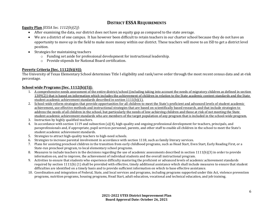### **DISTRICT ESSA REQUIREMENTS**

**Equity Plan** *[ESSA Sec. 1112(b)(2)]*:

- After examining the data, our district does not have an equity gap as compared to the state average.
- We are a district of one campus. It has however been difficult to retain teachers in our charter school because they do not have an opportunity to move up in the field to make more money within our district. These teachers will move to an ISD to get a district level position.
- Strategies for maintaining teachers
	- o Funding set aside for professional development for instructional leadership.
	- o Provide stipends for National Board certification.

#### **Poverty Criteria [Sec. 1112(b)(4)]:**

The University of Texas Elementary School determines Title I eligibility and rank/serve order through the most recent census data and at-risk percentage.

#### **School wide Programs [Sec. 1112(b)(5)]:**

- 1. A comprehensive needs assessment of the entire district/school (including taking into account the needs of migratory children as defined in section 1309(2)) that is based on information which includes the achievement of children in relation to the State academic content standards and the State student academic achievement standards described in section 1111(b)(1).
- 2. School-wide reform strategies that provide opportunities for all children to meet the State's proficient and advanced levels of student academic achievement, use effective methods and instructional strategies that are based on scientifically based research, and that include strategies to address the needs of all children in the school, but particularly the needs of low-achieving children and those at risk of not meeting the State student academic achievement standards who are members of the target population of any program that is included in the school-wide program.
- 3. Instruction by highly qualified teachers.
- 4. In accordance with section 1119 and subsection (a)(4), high-quality and ongoing professional development for teachers, principals, and paraprofessionals and, if appropriate, pupil services personnel, parents, and other staff to enable all children in the school to meet the State's student academic achievement standards.
- 5. Strategies to attract high-quality teachers to high-need schools.
- 6. Strategies to increase parental involvement in accordance with section 1118, such as family literary services.
- 7. Plans for assisting preschool children in the transition from early childhood programs, such as Head Start, Even Start, Early Reading First, or a State-run preschool program, to local elementary school programs.
- 8. Measures to include teachers in the decisions regarding the use of academic assessments described in section 1111(b)(3) in order to provide information on, and to improve, the achievement of individual students and the overall instructional program.
- 9. Activities to ensure that students who experience difficulty mastering the proficient or advanced levels of academic achievement standards required by section 1111(b) (1) shall be provided with effective, timely additional assistance which shall include measures to ensure that student difficulties are identified on a timely basis and to provide sufficient information on which to base effective assistance.
- 10. Coordination and integration of Federal, State, and local services and programs, including programs supported under this Act, violence prevention programs, nutrition programs, housing programs, Head Start, adult education, vocational and technical education, and job training.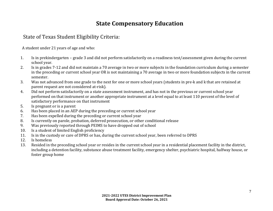# **State Compensatory Education**

# State of Texas Student Eligibility Criteria:

A student under 21 years of age and who:

- 1. Is in prekindergarten grade 3 and did not perform satisfactorily on a readiness test/assessment given during the current school year.
- 2. Is in grades 7-12 and did not maintain a 70 average in two or more subjects in the foundation curriculum during a semester in the preceding or current school year OR is not maintaining a 70 average in two or more foundation subjects in the current semester.
- 3. Was not advanced from one grade to the next for one or more school years (students in pre-k and k that are retained at parent request are not considered at-risk).
- 4. Did not perform satisfactorily on a state assessment instrument, and has not in the previous or current school year performed on that instrument or another appropriate instrument at a level equal to at least 110 percent of the level of satisfactory performance on that instrument
- 5. Is pregnant or is a parent<br>6. Has been placed in an AEI
- 6. Has been placed in an AEP during the preceding or current school year<br>7. Has been expelled during the preceding or current school year
- 7. Has been expelled during the preceding or current school year<br>8. Is currently on parole, probation, deferred prosecution, or othe
- 8. Is currently on parole, probation, deferred prosecution, or other conditional release<br>9. Was previously reported through PEIMS to have dropped out of school
- 9. Was previously reported through PEIMS to have dropped out of school 10. Is a student of limited English proficiency
- 10. Is a student of limited English proficiency<br>11. Is in the custody or care of DPRS or has, du
- 11. Is in the custody or care of DPRS or has, during the current school year, been referred to DPRS
- 12. Is homeless<br>13. Resided in the
- 13. Resided in the preceding school year or resides in the current school year in a residential placement facility in the district, including a detention facility, substance abuse treatment facility, emergency shelter, psychiatric hospital, halfway house, or foster group home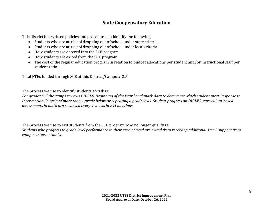### **State Compensatory Education**

This district has written policies and procedures to identify the following:

- Students who are at-risk of dropping out of school under state criteria
- Students who are at-risk of dropping out of school under local criteria
- How students are entered into the SCE program
- How students are exited from the SCE program
- The cost of the regular education program in relation to budget allocations per student and/or instructional staff per student ratio.

Total FTEs funded through SCE at this District/Campus: 2.5

The process we use to identify students at-risk is:

*For grades K-5 the camps reviews DIBELS, Beginning of the Year benchmark data to determine which student meet Response to Intervention Criteria of more than 1 grade below or repeating a grade level. Student progress on DIBLES, curriculum-based assessments in math are reviewed every 9 weeks in RTI meetings.*

The process we use to exit students from the SCE program who no longer qualify is: *Students who progress to grade level performance in their area of need are exited from receiving additional Tier 3 support from campus interventionist.*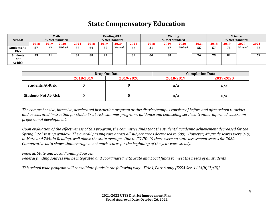# **State Compensatory Education**

| <b>STAAR</b>                             |      | Math<br>% Met Standard |        |      | <b>Reading/ELA</b><br>% Met Standard |      |        | Writing<br>% Met Standard |      |      |        |      | <b>Science</b><br>% Met Standard |      |        |          |
|------------------------------------------|------|------------------------|--------|------|--------------------------------------|------|--------|---------------------------|------|------|--------|------|----------------------------------|------|--------|----------|
|                                          | 2018 | 2019                   | 2020   | 2021 | 2018                                 | 2019 | 2020   | 2021                      | 2018 | 2019 | 2020   | 2021 | 2018                             | 2019 | 2020   | 2021     |
| <b>Students At-</b><br><b>Risk</b>       | 87   | 77                     | Waived | 38   | 64                                   | 87   | Waived | 46                        | 31   | 67   | Waived | 55   | ビワ<br>J.                         | 75   | Waived | 53       |
| <b>Students</b><br>Not<br><b>At-Risk</b> | 95   | 91                     |        | 62   | 88                                   | 92   |        | 69                        | 60   | 88   |        | 76   | 55 F<br>э.                       | 81   |        | 72<br>74 |

|                             |           | Drop Out Data | <b>Completion Data</b> |           |  |
|-----------------------------|-----------|---------------|------------------------|-----------|--|
|                             | 2018-2019 | 2019-2020     | 2018-2019              | 2019-2020 |  |
| <b>Students At-Risk</b>     |           |               | n/a                    | n/a       |  |
| <b>Students Not At-Risk</b> |           |               | n/a                    | n/a       |  |

*The comprehensive, intensive, accelerated instruction program at this district/campus consists of before and after school tutorials and accelerated instruction for student's at-risk, summer programs, guidance and counseling services, trauma-informed classroom professional development.*

*Upon evaluation of the effectiveness of this program, the committee finds that the students' academic achievement decreased for the Spring 2021 testing window. The overall passing rate across all subject areas decreased to 68%. However, 4th grade scores were 81% in Math and 78% in Reading, well above the state average. Due to COVID-19 there were no state assessment scores for 2020. Comparative data shows that average benchmark scores for the beginning of the year were steady.*

#### *Federal, State and Local Funding Sources:*

*Federal funding sources will be integrated and coordinated with State and Local funds to meet the needs of all students.*

*This school wide program will consolidate funds in the following way: Title I, Part A only [ESSA Sec. 1114(b)(7)(B)]*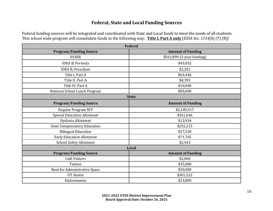### **Federal, State and Local Funding Sources**

Federal funding sources will be integrated and coordinated with State and Local funds to meet the needs of all students. This school wide program will consolidate funds in the following way: **Title I, Part A only** [*ESSA Sec. 1114(b) (7) (B)]*

|                                     | <b>Federal</b>             |  |  |  |  |  |
|-------------------------------------|----------------------------|--|--|--|--|--|
| <b>Program/Funding Source</b>       | <b>Amount of Funding</b>   |  |  |  |  |  |
| <b>ESSER</b>                        | \$561,899 (3-year funding) |  |  |  |  |  |
| IDEA B, Formula                     | \$43,032                   |  |  |  |  |  |
| <b>IDEA B, Preschool</b>            | \$2,201                    |  |  |  |  |  |
| Title I, Part A                     | \$64,446                   |  |  |  |  |  |
| Title II, Part A                    | \$8,395                    |  |  |  |  |  |
| Title IV, Part A                    | \$10,000                   |  |  |  |  |  |
| National School Lunch Program       | \$85,000                   |  |  |  |  |  |
|                                     | <b>State</b>               |  |  |  |  |  |
| <b>Program/Funding Source</b>       | <b>Amount of Funding</b>   |  |  |  |  |  |
| Regular Program SFF                 | \$2,105,417                |  |  |  |  |  |
| <b>Special Education Allotment</b>  | \$361,046                  |  |  |  |  |  |
| Dyslexia Allotment                  | \$12,934                   |  |  |  |  |  |
| <b>State Compensatory Education</b> | \$252,215                  |  |  |  |  |  |
| <b>Bilingual Education</b>          | \$27,530                   |  |  |  |  |  |
| <b>Early Education Allotment</b>    | \$71,765                   |  |  |  |  |  |
| <b>School Safety Allotment</b>      | \$2,543                    |  |  |  |  |  |
|                                     | Local                      |  |  |  |  |  |
| <b>Program/Funding Source</b>       | <b>Amount of Funding</b>   |  |  |  |  |  |
| Café Visitors                       | \$2,000                    |  |  |  |  |  |
| Tuition                             | \$35,000                   |  |  |  |  |  |
| Rent for Administrative Space       | \$50,000                   |  |  |  |  |  |
| <b>UT Austin</b>                    | \$301,522                  |  |  |  |  |  |
| Endowments                          | \$23,809                   |  |  |  |  |  |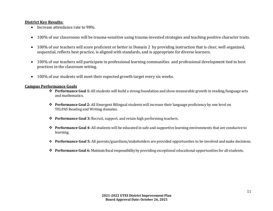#### **District Key Results:**

- Increase attendance rate to 98%.
- 100% of our classrooms will be trauma-sensitive using trauma-invested strategies and teaching positive character traits.
- 100% of our teachers will score proficient or better in Domain 2 by providing instruction that is clear, well organized, sequential, reflects best practice, is aligned with standards, and is appropriate for diverse learners.
- 100% of our teachers will participate in professional learning communities and professional development tied to best practices in the classroom setting.
- 100% of our students will meet their expected growth target every six weeks.

#### **Campus Performance Goals**

- **Performance Goal 1:** All students will build a strong foundation and show measurable growth in reading/language arts and mathematics.
- **Performance Goal 2:** All Emergent Bilingual students will increase their language proficiency by one level on TELPAS Reading and Writing domains.
- **Performance Goal 3:** Recruit, support, and retain high performing teachers.
- **Performance Goal 4:** All students will be educated in safe and supportive learning environments that are conducive to learning.
- **Performance Goal 5:** All parents/guardians/stakeholders are provided opportunities to be involved and make decisions.
- **◆** Performance Goal 6: Maintain fiscal responsibility by providing exceptional educational opportunities for all students.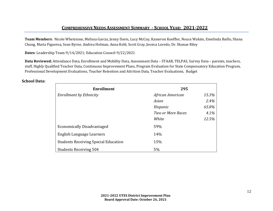**Team Members**: Nicole Whetstone, Melissa Garcia, Jenny Davis, Lucy McCoy, Kameron Koeffler, Noura Wakim, Emelinda Baillo, Shana Chung, Maria Figueroa, Sean Byrne, Andrea Holman, Anna Kehl, Scott Gray, Jessica Loredo, Dr. Shanae Riley

**Dates**: Leadership Team-9/14/2021; Education Council-9/22/2021

**Data Reviewed:** Attendance Data, Enrollment and Mobility Data, Assessment Data – STAAR, TELPAS, Survey Data – parents, teachers, staff, Highly Qualified Teacher Data, Continuous Improvement Plans, Program Evaluation for State Compensatory Education Program, Professional Development Evaluations, Teacher Retention and Attrition Data, Teacher Evaluations, Budget

| <b>Enrollment</b>                           | 295                      |       |  |  |
|---------------------------------------------|--------------------------|-------|--|--|
| <b>Enrollment by Ethnicity</b>              | African American         | 15.3% |  |  |
|                                             | Asian                    | 2.4%  |  |  |
|                                             | Hispanic                 | 65.8% |  |  |
|                                             | <b>Two or More Races</b> | 4.1%  |  |  |
|                                             | White                    | 12.5% |  |  |
| <b>Economically Disadvantaged</b>           | 59%                      |       |  |  |
| English Language Learners                   | 14%                      |       |  |  |
| <b>Students Receiving Special Education</b> | 15%                      |       |  |  |
| <b>Students Receiving 504</b>               | 5%                       |       |  |  |

#### **School Data:**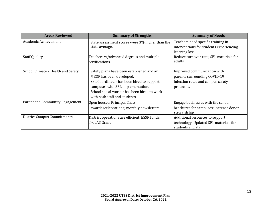| <b>Areas Reviewed</b>              | <b>Summary of Strengths</b>                     | <b>Summary of Needs</b>                 |
|------------------------------------|-------------------------------------------------|-----------------------------------------|
| Academic Achievement               | State assessment scores were 3% higher than the | Teachers need specific training in      |
|                                    | state average.                                  | interventions for students experiencing |
|                                    |                                                 | learning loss.                          |
| <b>Staff Quality</b>               | Teachers w/advanced degrees and multiple        | Reduce turnover rate; SEL materials for |
|                                    | certifications.                                 | adults                                  |
|                                    |                                                 |                                         |
| School Climate / Health and Safety | Safety plans have been established and an       | Improved communication with             |
|                                    | MEOP has been developed.                        | parents surrounding COVID-19            |
|                                    | SEL Coordinator has been hired to support       | infection rates and campus safety       |
|                                    | campuses with SEL implementation.               | protocols.                              |
|                                    | School social worker has been hired to work     |                                         |
|                                    | with both staff and students.                   |                                         |
| Parent and Community Engagement    | Open houses; Principal Chats                    | Engage businesses with the school;      |
|                                    | awards/celebrations; monthly newsletters        | brochures for campuses; increase donor  |
|                                    |                                                 | stewardship                             |
| <b>District Campus Commitments</b> | District operations are efficient; ESSR funds;  | Additional resources to support         |
|                                    | <b>T-CLAS Grant</b>                             | technology; Updated SEL materials for   |
|                                    |                                                 | students and staff                      |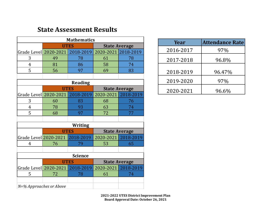# **State Assessment Results**

| <b>Mathematics</b>      |                                 |                |                      |                      |  |  |
|-------------------------|---------------------------------|----------------|----------------------|----------------------|--|--|
|                         |                                 | <b>UTES</b>    |                      | <b>State Average</b> |  |  |
|                         | Grade Level 2020-2021 2018-2019 |                | 2020-2021 2018-2019  |                      |  |  |
| 3                       | 49                              | 78             | 61                   | 78                   |  |  |
| $\overline{4}$          | 81                              | 86             | 58                   | 74                   |  |  |
| 5                       | 56                              | 97             | 69                   | 83                   |  |  |
|                         |                                 |                |                      |                      |  |  |
|                         |                                 | <b>Reading</b> |                      |                      |  |  |
|                         |                                 | <b>UTES</b>    |                      | <b>State Average</b> |  |  |
|                         | Grade Level 2020-2021           | 2018-2019      | 2020-2021            | 2018-2019            |  |  |
| 3                       | 60                              | 83             | 68                   | 76                   |  |  |
| 4                       | 78                              | 93             | 63                   | 74                   |  |  |
| 5                       | 68                              | 97             | 72                   | 77                   |  |  |
|                         |                                 |                |                      |                      |  |  |
|                         |                                 | Writing        |                      |                      |  |  |
|                         |                                 | <b>UTES</b>    | <b>State Average</b> |                      |  |  |
|                         | Grade Level 2020-2021 2018-2019 |                |                      | 2020-2021 2018-2019  |  |  |
| 4                       | 76                              | 79             | 53                   | 65                   |  |  |
|                         |                                 |                |                      |                      |  |  |
| <b>Science</b>          |                                 |                |                      |                      |  |  |
|                         | <b>UTES</b>                     |                |                      | <b>State Average</b> |  |  |
|                         | Grade Level 2020-2021           | 2018-2019      | 2020-2021            | 2018-2019            |  |  |
| 5                       | 72                              | 78             | 61                   | 74                   |  |  |
|                         |                                 |                |                      |                      |  |  |
| N=% Approaches or Above |                                 |                |                      |                      |  |  |

| Year      | <b>Attendance Rate</b> |
|-----------|------------------------|
| 2016-2017 | 97%                    |
| 2017-2018 | 96.8%                  |
| 2018-2019 | 96.47%                 |
| 2019-2020 | 97%                    |
| 2020-2021 | 96.6%                  |

**2021-2022 UTES District Improvement Plan Board Approval Date: October 26, 2021**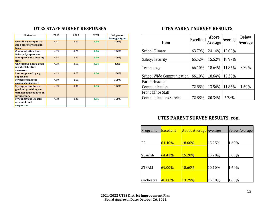### **UTES STAFF SURVEY RESPONSES**

| <b>Statement</b>                                                                         | 2019 | 2020 | 2021 | %Agree or<br><b>Strongly Agree</b> |
|------------------------------------------------------------------------------------------|------|------|------|------------------------------------|
| Overall, my campus is a<br>good place to work and<br>learn.                              | 4.67 | 4.30 | 4.88 | 100%                               |
| <b>Communication from</b><br>Principal/supervisor.                                       | 4.83 | 4.27 | 4.76 | 100%                               |
| <b>My supervisor values my</b><br>time.                                                  | 4.58 | 4.40 | 4.59 | 100%                               |
| Our campus does a good<br>job at celebrating<br>successes.                               | 4.08 | 3.50 | 4.24 | 82%                                |
| I am supported by my<br>supervisor.                                                      | 4.63 | 4.20 | 4.76 | 100%                               |
| My performance is<br>assessed objectively.                                               | 4.50 | 4.10 |      | 100%                               |
| My supervisor does a<br>good job providing me<br>with needed feedback on<br>my position. | 4.33 | 4.30 | 4.65 | 100%                               |
| My supervisor is easily<br>accessible and<br>responsive.                                 | 4.58 | 4.20 | 4.65 | 100%                               |

## **UTES PARENT SURVEY RESULTS**

| <b>Item</b>                      | <b>Excellent</b> | Above<br><b>Average</b> | <b>Average</b> | <b>Below</b><br><b>Average</b> |
|----------------------------------|------------------|-------------------------|----------------|--------------------------------|
| <b>School Climate</b>            | 63.79%           | 24.14%                  | 12.00%         |                                |
| Safety/Security                  | 65.52%           | 15.52%                  | 18.97%         |                                |
| Technology                       | 66.10%           | 18.64%                  | 11.86%         | 3.39%                          |
| <b>School Wide Communication</b> | 66.10%           | 18.64%                  | 15.25%         |                                |
| Parent-teacher                   |                  |                         |                |                                |
| Communication                    | 72.88%           | 13.56%                  | 11.86%         | 1.69%                          |
| Front Office Staff               |                  |                         |                |                                |
| Communication/Service            | 72.88%           | 20.34%                  | 6.78%          |                                |

# **UTES PARENT SURVEY RESULTS, con.**

| Programs     | <b>Excellent</b> | <b>Above Average Average</b> |        | <b>Below Average</b> |
|--------------|------------------|------------------------------|--------|----------------------|
|              |                  |                              |        |                      |
| РE           | 64.40%           | <b>18.60%</b>                | 15.25% | 1.60%                |
|              |                  |                              |        |                      |
| Spanish      | 64.41%           | 15.20%                       | 15.20% | 5.00%                |
|              |                  |                              |        |                      |
| <b>STEAM</b> | 69.00%           | 18.60%                       | 10.10% | 1.60%                |
|              |                  |                              |        |                      |
| Orchestra    | 48.00%           | 13.79%                       | 15.50% | 1.60%                |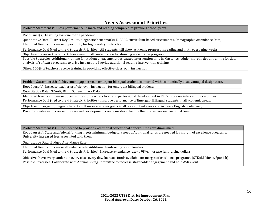### **Needs Assessment Priorities**

Problem Statement #1: Low performance in math and reading compared to previous school years.

Root Cause(s): Learning loss due to the pandemic.

Quantitative Data: District Key Results, diagnostic benchmarks, DIBELS, curriculum-based assessments, Demographic Attendance Data,

Identified Need(s): Increase opportunity for high quality instruction.

Performance Goal (tied to the 4 Strategic Priorities): All students will show academic progress in reading and math every nine weeks.

Objective: Increase Academic Achievement in all content areas by showing measurable progress

Possible Strategies: Additional training for student engagement; designated intervention time in Master schedule, more in depth training for data analysis of software programs to drive instruction. Provide additional reading intervention training.

Other: 100% of teachers receive training in providing effective classroom instruction.

Problem Statement #2: Achievement gap between emergent bilingual students comorbid with economically disadvantaged designation.

Root Cause(s): Increase teacher proficiency in instruction for emergent bilingual students.

Quantitative Data: STAAR, DIBELS, Benchmark Data

Identified Need(s): Increase opportunities for teachers to attend professional development in ELPS. Increase intervention resources.

Performance Goal (tied to the 4 Strategic Priorities): Improve performance of Emergent Bilingual students in all academic areas.

Objective: Emergent bilingual students will make academic gains in all core content areas and increase English proficiency.

Possible Strategies: Increase professional development, create master schedule that maximizes instructional time.

Problem Statement #3: Funds needed to provide exceptional educational opportunities are diminished.

Root Cause(s): State and federal funding meets minimum budgetary needs. Additional funds are needed for margin of excellence programs. University increased fees associated with them.

Quantitative Data: Budget, Attendance Rate

Identified Need(s): Increase attendance rate. Additional fundraising opportunities

Performance Goal (tied to the 4 Strategic Priorities): Increase attendance rate to 98%. Increase fundraising dollars.

Objective: Have every student in every class every day. Increase funds available for margin of excellence programs. (STEAM, Music, Spanish) Possible Strategies: Collaborate with Annual Giving Committee to increase stakeholder engagement and hold ASK event.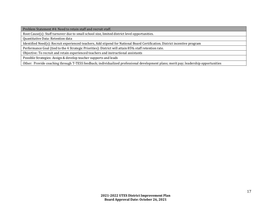Problem Statement #4: Need to retain staff and recruit staff.

Root Cause(s): Staff turnover due to small school size, limited district level opportunities.

Quantitative Data: Retention data

Identified Need(s): Recruit experienced teachers, Add stipend for National Board Certification. District incentive program

Performance Goal (tied to the 4 Strategic Priorities): District will attain 85% staff retention rate.

Objective: To recruit and retain experienced teachers and instructional assistants

Possible Strategies: Assign & develop teacher supports and leads

Other: Provide coaching through T-TESS feedback; individualized professional development plans; merit pay; leadership opportunities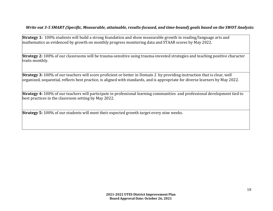#### *Write out 3-5 SMART (Specific, Measurable, attainable, results-focused, and time-bound) goals based on the SWOT Analysis:*

**Strategy 1:** 100% students will build a strong foundation and show measurable growth in reading/language arts and mathematics as evidenced by growth on monthly progress monitoring data and STAAR scores by May 2022.

**Strategy 2:** 100% of our classrooms will be trauma-sensitive using trauma-invested strategies and teaching positive character traits monthly.

**Strategy 3:** 100% of our teachers will score proficient or better in Domain 2 by providing instruction that is clear, well organized, sequential, reflects best practice, is aligned with standards, and is appropriate for diverse learners by May 2022.

**Strategy 4:** 100% of our teachers will participate in professional learning communities and professional development tied to best practices in the classroom setting by May 2022.

**Strategy 5:** 100% of our students will meet their expected growth target every nine weeks.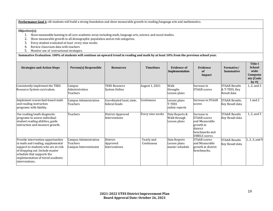Performance Goal 1: All students will build a strong foundation and show measurable growth in reading/language arts and mathematics.

#### **Objective(s):**

- 1. Show measurable learning in all core academic areas including math, language arts, science, and social studies.
- 2. Show measurable growth in all demographic population and at-risk categories.
- 3. Every student evaluated at least every nine weeks
- 4. Review classroom data with teachers
- 5. Monitor use of instructional strategies.

**Summative Evaluation: 100% of students will continue an upward trend in reading and math by at least 10% from the previous school year.**

| <b>Strategies and Action Steps</b>                                                                                                                                                                                                     | Person(s) Responsible                                       | <b>Resources</b>                           | <b>Timelines</b>         | <b>Evidence of</b><br>Implementation            | Evidence<br>of<br>Impact                                                                                          | Formative/<br><b>Summative</b>                       | <b>Title I</b><br><b>School</b><br>wide<br>Compone<br>nts (Code<br>by # $\left( \right)$ |
|----------------------------------------------------------------------------------------------------------------------------------------------------------------------------------------------------------------------------------------|-------------------------------------------------------------|--------------------------------------------|--------------------------|-------------------------------------------------|-------------------------------------------------------------------------------------------------------------------|------------------------------------------------------|------------------------------------------------------------------------------------------|
| Consistently implement the TEKS<br>Resource System curriculum.                                                                                                                                                                         | Campus<br>Administration<br>Teachers                        | <b>TEKS Resource</b><br>System Online      | August 1, 2021           | Walk<br>throughs<br>Lesson plans                | Increase in<br><b>STAAR</b> scores                                                                                | <b>STAAR Results</b><br>& T-TESS, Key<br>Result data | 1, 2, and 3                                                                              |
| Implement researched-based math<br>and reading instruction<br>programs with fidelity.                                                                                                                                                  | Campus Administration<br>Teachers                           | Coordinated local, state,<br>federal funds | Continuous               | Lesson plans<br>T-TESS<br>online reports        | Increase in STAAR<br>scores                                                                                       | <b>STAAR Results,</b><br>Key Result data             | 1 and 2                                                                                  |
| Use reading/math diagnostic<br>programs to assess individual<br>student reading abilities, guide<br>instruction and measure growth.                                                                                                    | Teachers                                                    | District-Approved<br>Interventions         | Every nine weeks         | Data Reports &<br>Walk through<br>Lesson plans  | Increase in<br><b>STAAR</b> scores<br>and Measurable<br>growth in<br>district<br>benchmarks and<br>DIBELS scores. | <b>STAAR Results</b><br>Key Result data              | 1, 2, and 3                                                                              |
| Provide intervention opportunities<br>in math and reading, supplemental<br>support to students who are at-risk<br>of dropping out. Include master<br>schedule that supports the<br>implementation of tiered academic<br>interventions. | Campus Administration<br>Teachers<br>Campus Interventionist | District-<br>Approved<br>Interventions     | Yearly and<br>Continuous | Data Reports<br>Lesson plans<br>master schedule | <b>STAAR</b> scores<br>and Measurable<br>growth in district<br>benchmarks.                                        | <b>STAAR Results</b><br>Key Result data              | , 2, 3, and 9                                                                            |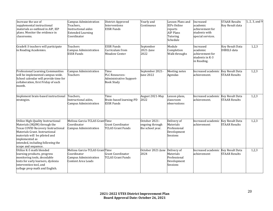| Increase the use of<br>supplemental instructional<br>materials as outlined in AIP, IEP<br>plans. Monitor the evidence in<br>classrooms.                                                                                                                   | <b>Campus Administration</b><br>Teachers,<br>Instructional aides<br><b>Extended Learning</b><br>Coordinator | District-Approved<br>Interventions<br><b>ESSR Funds</b>                | Yearly and<br>Continuous                             | Lesson Plans and<br><b>IEPs Online</b><br>reports<br><b>AIP Plans</b><br>Tutoring<br>Schedule | Increased<br>academic<br>achievement for<br>students with<br>special services. | <b>STAAR Results</b><br>Key Result data        | 1, 2, 3, and $9$ |
|-----------------------------------------------------------------------------------------------------------------------------------------------------------------------------------------------------------------------------------------------------------|-------------------------------------------------------------------------------------------------------------|------------------------------------------------------------------------|------------------------------------------------------|-----------------------------------------------------------------------------------------------|--------------------------------------------------------------------------------|------------------------------------------------|------------------|
| GradeK-3 teachers will participate<br>in Reading Academies.                                                                                                                                                                                               | Teachers<br>Campus Administration<br><b>ESSR Funds</b>                                                      | <b>ESSR Funds</b><br>Curriculum from<br><b>Meadow Center</b>           | September<br>2021-June<br>2022                       | Module<br>Completion<br>Walk throughs                                                         | Increased<br>academic<br>achievement for<br>students in K-3<br>in Reading.     | <b>Key Result Data</b><br><b>DIBELS</b> data   | 1,2,3            |
| Professional Learning Communities<br>will be implemented campus-wide.<br>School calendar will provide time for<br>collaboration, first Friday of each<br>month.                                                                                           | Campus Administration<br>Teachers                                                                           | Time<br>PLC Resources-<br>Administrative Support-<br><b>Book Study</b> | September 2021-<br>June 2022                         | Meeting notes<br>Agendas                                                                      | Increased academic Key Result Data<br>achievement.                             | <b>STAAR Results</b>                           | 1,2,3            |
| Implement brain-based instructional<br>strategies.                                                                                                                                                                                                        | Teachers.<br>Instructional aides,<br>Campus Administration                                                  | Time<br>Brain-based learning-PD<br><b>ESSR Funds</b>                   | August 2021-May<br>2022                              | Lesson plans,<br>classroom<br>observations                                                    | Increased academic<br>achievement.                                             | <b>Key Result Data</b><br><b>STAAR Results</b> | 1,2,3            |
| Utilize High-Quality Instructional<br>Materials (HQIM) through the<br>Texas COVID Recovery Instructional<br>Materials Grant. Instructional<br>materials will be piloted and<br>implemented as<br>intended, including following the<br>scope and sequence. | Melissa Garcia-TCLAS GrantTime<br>Coordinator<br>Campus Administration                                      | Grant Coordinator<br><b>TCLAS Grant Funds</b>                          | October 2021-<br>ongoing through<br>the school year. | Delivery of<br>Materials<br>Professional<br>Development<br>Sessions                           | Increased academic Key Result Data<br>achievement                              | <b>STAAR Results</b>                           | 1,2,3            |
| Utilize K-5 math blended<br>learning products, progress<br>monitoring tools, decodable<br>texts for early learners, dyslexia<br>intervention tool, and<br>college prep math and English.                                                                  | Melissa Garcia-TCLAS GrantTime<br>Coordinator<br>Campus Administration<br><b>Content Area Leads</b>         | <b>Grant Coordinator</b><br><b>TCLAS Grant Funds</b>                   | October 2021-June Delivery of<br>2024                | Materials<br>Professional<br>Development<br>Sessions                                          | Increased academic Key Result Data<br>achievement                              | <b>STAAR Results</b>                           | 1,2,3            |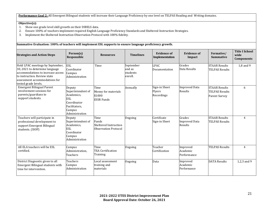**Performance Goal 2:** All Emergent Bilingual students will increase their Language Proficiency by one level on TELPAS Reading and Writing domains.

#### **Objective(s):**

- 1. Show one grade level skill growth on their DIBELS data.<br>2. Ensure 100% of teachers implement required English L.
- 2. Ensure 100% of teachers implement required English Language Proficiency Standards and Sheltered Instruction Strategies.
- Implement the Sheltered Instruction Observation Protocol with 100% fidelity.

**Summative Evaluation: 100% of teachers will implement ESL supports to ensure language proficiency growth. Strategies and Action Steps** Person(s) **Responsible Resources Timelines Evidence of Implementation Evidence of Impact Formative/ Summative Title I School wide Components** Hold LPAC meetings by September, 30, 2021 to determine language accommodations to increase access to instruction. Review state assessment accommodations for tested grade levels. ESL Coordinator Campus Administration Time September and as students enroll. LPAC Documentation Grades Data Results STAAR Results TELPAS Results 1,8 and 9 Emergent Bilingual Parent involvement sessions for parents/guardians to support students. Deputy Superintendent of Academics, ESL Coordinator Facilitators, Campus Administration Time Money for materials \$1000 ESSR Funds Annually Sign-in Sheet Flyers Recordings Improved Data Results STAAR Results TELPAS Results Parent Survey 6 Teachers will participate in professional development to support Emergent Bilingual students. (SIOP) Deputy Superintendent of Academics, ESL Coordinator Campus Administration Time Funds Sheltered Instruction Observation Protocol Ongoing **Certificate** Sign-in Sheet Grades Improved Data Results STAAR Results TELPAS Results 4 All ELA teachers will be ESL certified. Campus Administration, Teachers Time TEA Certification **Training** Ongoing Teacher Certification Improved Academic Performance TELPAS Results 4 District Diagnostic given to all Emergent Bilingual students with time for intervention. Teachers Campus Administration Local assessment training and materials Ongoing Data Improved Academic Performance DATA Results 1.2,3 and 9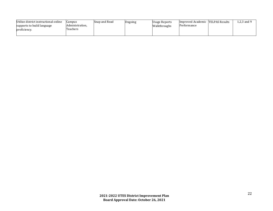| Utilize district instructional online | Campus          | Snap and Read | Ongoing | Usage Reports | Improved Academic  | <b>TELPAS Results</b> | .2.3 and 9 |
|---------------------------------------|-----------------|---------------|---------|---------------|--------------------|-----------------------|------------|
| supports to build language            | Administration, |               |         | Walkthroughs  | <i>Pertormance</i> |                       |            |
| proficiency.                          | Teachers        |               |         |               |                    |                       |            |
|                                       |                 |               |         |               |                    |                       |            |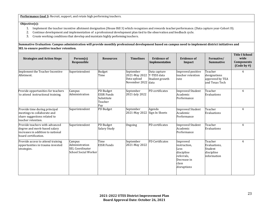**Performance Goal 3:** Recruit, support, and retain high performing teachers.

#### **Objective(s):**

- 1. Implement the teacher incentive allotment designation (House Bill 3) which recognizes and rewards teacherperformance. (Data capture year-Cohort D).
- 2. Continue development and implementation of a professional development plan tied to the observation and feedback cycle.
- 3. Create working conditions that develop and maintain highly performing teachers.

**Summative Evaluation: Campus administration will provide monthly professional development based on campus need to implement district initiatives and SEL to ensure positive teacher retention.**

| <b>Strategies and Action Steps</b>                                                                                           | Person(s)<br>Responsible                                                   | <b>Resources</b>                                               | <b>Timelines</b>                                           | <b>Evidence of</b><br>Implementation                  | <b>Evidence of</b><br>Impact                                                                        | Formative/<br><b>Summative</b>                                  | <b>Title I School</b><br>wide<br><b>Components</b><br>$\text{(Code by } \# \text{)}$ |
|------------------------------------------------------------------------------------------------------------------------------|----------------------------------------------------------------------------|----------------------------------------------------------------|------------------------------------------------------------|-------------------------------------------------------|-----------------------------------------------------------------------------------------------------|-----------------------------------------------------------------|--------------------------------------------------------------------------------------|
| Implement the Teacher Incentive<br>Allotment.                                                                                | Superintendent                                                             | <b>Budget</b><br>Time                                          | September<br>2021-May 2022<br>Data upload<br>November 2022 | Data capture<br>T-TESS data<br>Student growth<br>data | Improved positive<br>teacher retention<br>rate                                                      | Teacher<br>designations<br>approved by TEA<br>and Texas Tech    | 4                                                                                    |
| Provide opportunities for teachers<br>to attend instructional training.                                                      | Campus<br>Administration                                                   | PD Budget<br><b>ESSR Funds</b><br>Substitute<br>Teacher<br>Pay | September<br>2021-July 2022                                | PD certificates                                       | <b>Improved Student</b><br>Academic<br>Performance                                                  | Teacher<br>Evaluations                                          | 4                                                                                    |
| Provide time during principal<br>meetings to collaborate and<br>share suggestions related to<br>teacher retention.           | Superintendent                                                             | PD Budget                                                      | September<br>2021-May 2022                                 | Agenda<br>Sign In Sheets                              | <b>Improved Student</b><br>Academic<br>Performance                                                  | Teacher<br>Evaluations                                          | $\overline{4}$                                                                       |
| Provide teachers with advanced<br>degree and merit-based salary<br>increases in addition to national<br>board certification. | Superintendent                                                             | PD Budget<br>Salary Study                                      | Ongoing                                                    | PD certificates                                       | <b>Improved Student</b><br>Academic<br>Performance                                                  | Teacher<br>Evaluations                                          | $\overline{4}$                                                                       |
| Provide access to attend training<br>opportunities in trauma invested<br>strategies.                                         | Campus<br>Administration<br><b>SEL Coordinator</b><br>School Social Worker | Time<br><b>ESSR Funds</b>                                      | September<br>2021-May 2022                                 | PD Certificates                                       | Improved<br>instruction,<br>Less<br>discipline<br>referrals,<br>Decrease in<br>class<br>disruptions | Teacher<br>Evaluations,<br>Student<br>discipline<br>information | $\overline{4}$                                                                       |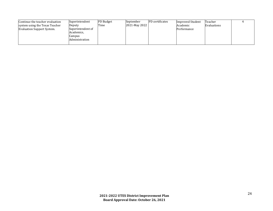| Continue the teacher evaluation | Superintendent    | <b>PD</b> Budget | <b>September</b> | PD certificates | Improved Student | Teacher     |  |
|---------------------------------|-------------------|------------------|------------------|-----------------|------------------|-------------|--|
| system using the Texas Teacher  | Deputy            | Time             | 2021-May 2022    |                 | Academic         | Evaluations |  |
| Evaluation Support System.      | Superintendent of |                  |                  |                 | Performance      |             |  |
|                                 | Academics,        |                  |                  |                 |                  |             |  |
|                                 | Campus            |                  |                  |                 |                  |             |  |
|                                 | Administration    |                  |                  |                 |                  |             |  |
|                                 |                   |                  |                  |                 |                  |             |  |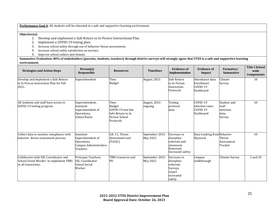**Performance Goal 4:** All students will be educated in a safe and supportive learning environment.

**Objective(s):**

- 1. Develop and implement a Safe Return to In Person Instructional Plan.
- 2. Implement a COVID-19 testing plan.
- 3. Increase school safety through use of behavior threat assessments.
- 4. Increase school safety satisfaction on surveys.
- 5. Improve school culture and climate.

**Summative Evaluation: 80% of stakeholders (parents, students, teachers) through district surveys will strongly agree that UTES is a safe and supportive learning environment.**

| <b>Strategies and Action Steps</b>                                                                   | Person(s)<br>Responsible                                                                        | <b>Resources</b>                                                                               | <b>Timelines</b>                   | <b>Evidence of</b><br>Implementation                                                      | <b>Evidence of</b><br>Impact                             | Formative/<br><b>Summative</b>                       | <b>Title I School</b><br>wide<br><b>Components</b> |
|------------------------------------------------------------------------------------------------------|-------------------------------------------------------------------------------------------------|------------------------------------------------------------------------------------------------|------------------------------------|-------------------------------------------------------------------------------------------|----------------------------------------------------------|------------------------------------------------------|----------------------------------------------------|
| Develop and implement a Safe Return<br>to In Person Instruction Plan for Fall<br>2021.               | Superintendent                                                                                  | Time<br><b>Budget</b>                                                                          | August, 2021                       | Safe Return<br>to In Person<br>Instruction<br>Protocols                                   | Attendance data<br>Enrollment<br>$COVID-19$<br>Dashboard | Climate<br>Survey                                    | 10                                                 |
| All students and staff have access to<br>COVID-19 testing program.                                   | Superintendent,<br>Assistant<br>Superintendent of<br>Operations,<br><b>School Nurse</b>         | Time<br><b>Budget</b><br>COVID-19 test kits<br>Safe Return to In<br>Person School<br>Protocols | August, 2021-<br>ongoing           | Testing<br>protocol<br>data.                                                              | COVID-19<br>infection rates.<br>$COVID-19$<br>Dashboard  | Student and<br>staff<br>infection<br>data,<br>Survey | 10                                                 |
| Collect data to monitor compliance with<br>behavior threat assessment process.                       | Assistant<br>Superintendent of<br><b>Operations</b><br>Campus Administration<br><b>Teachers</b> | S.B. 11, Threat<br>Assessment tool<br>(TxSSC)                                                  | September 2021-<br><b>May 2022</b> | Decrease in<br>discipline<br>referrals and<br>classroom<br>Removals.<br>Increased safety. | Data tracking from Behavior<br>Skyward                   | Threat<br>Assessment<br>Tracker                      | 10                                                 |
| Collaborate with SEL Coordinator and<br>School Social Worker to implement TBRI<br>in all classrooms. | Principal, Teachers,<br><b>SEL Coordinator</b><br>School Social<br>Worker                       | TBRI resources and<br>PD                                                                       | September 2021-<br>May 2022        | Decrease in<br>discipline<br>referrals.<br>Surveys<br>report<br>increased<br>safety.      | Campus<br>walkthrough                                    | Climate Survey                                       | 2 and 10                                           |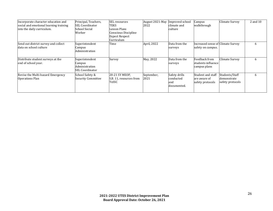| Incorporate character education and<br>social and emotional learning training<br>into the daily curriculum. | Principal, Teachers,<br><b>SEL Coordinator</b><br> School Social <br>Worker | SEL resources<br>TEKS<br>Lesson Plans<br>Conscious Discipline<br><b>Expect Respect</b><br>Curriculum | August 2021-May<br>2022 | Improved school<br>climate and<br>culture         | Campus<br>walkthrough                                      | <b>Climate Survey</b>                             | 2 and 10     |
|-------------------------------------------------------------------------------------------------------------|-----------------------------------------------------------------------------|------------------------------------------------------------------------------------------------------|-------------------------|---------------------------------------------------|------------------------------------------------------------|---------------------------------------------------|--------------|
| Send out district survey and collect<br>data on school culture                                              | Superintendent<br>Campus<br>Administration                                  | Time                                                                                                 | April, 2022             | Data from the<br>surveys                          | Increased sense of Climate Survey<br>safety on campus.     |                                                   | <sub>b</sub> |
| Distribute student surveys at the<br>end of school year.                                                    | Superintendent<br>Campus<br>Administration<br>ISEL Coordinator              | Survey                                                                                               | May, 2022               | Data from the<br>surveys                          | <b>Feedback</b> from<br>students influence<br>campus plans | Climate Survey                                    | <sub>b</sub> |
| Revise the Multi-hazard Emergency<br>Operations Plan                                                        | School Safety &<br><b>Security Committee</b>                                | 20-21 SY MEOP,<br>S.B. 11, resources from<br>TxSSC                                                   | September,<br>2021      | Safety drills<br>conducted<br>land<br>documented. | Student and staff<br>are aware of<br>safety protocols      | Students/Staff<br>demonstrate<br>safety protocols | 6            |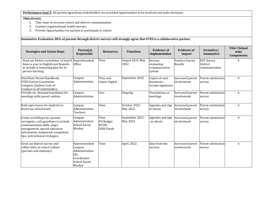**Performance Goal 5:** All parents/guardians/stakeholders are provided opportunities to be involved and make decisions.

#### **Objective(s):**

- 1. Take steps to increase school and district-communication.<br>2. Conduct organizational health surveys.
- 2. Conduct organizational health surveys.<br>3. Provide Opportunities for parents to pa
- Provide Opportunities for parents to participate in school.

**Summative Evaluation: 80% of parents through district surveys will strongly agree that UTES is a collaborative partner. Strategies and Action Steps Person(s) Person(s) Responsible Responsible Resources Timelines Evidence of Responsible Resources Evidence Evidence** of **Implementation Evidence of Impact Formative/ Summative Title I School wide Components** Send out District newsletter at least 8 times a year in English and Spanish to include a reopening plan for inperson learning. Superintendent **Office** Time August 2021-May 2022 Surveys evaluating communication system Positive Survey Results EOY Survey District Communication 6 Distribute Parent Handbook, UTES Parent-Community Compact, Student Code of Conduct to all stakeholders. Campus Administration Time and Copies Digital September 2022 Copies of each document – receipt signatures Increased parent involvement Parent satisfaction survey 6 Provide on- demand translation for meetings with parent entities. Campus Administration Cost **Ongoing** Translations at meetings Increased parent involvement Parent satisfaction survey 6 Hold open house for students to showcase schoolwork. Campus Administration Teachers Time October 2021-May 2022 Agendas and sign in sheets Increased parent involvement Parent satisfaction survey 6 Create workshops for parents, surrogates, and guardians to include communication skills, anger management, special education information, homework completion tips, instructional strategies. Campus Administration School Social Worker Time PD Budget \$2500 ESSR Funds September 2021- May 2022 Agendas and sign –in sheets Increased parent involvement Parent satisfaction survey 6 Send out district survey and collect data on school culture (parents and students). Superintendent Campus Administration SEL Coordinator School Social Worker Time **April, 2022** Data from the surveys Increased parent involvement Parent satisfaction survey 6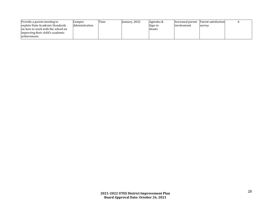| Provide a parent meeting to       | Jampus         | Time | January, 2022 | Agendas & |              | Increased parent Parent satisfaction |  |
|-----------------------------------|----------------|------|---------------|-----------|--------------|--------------------------------------|--|
| explain State Academic Standards  | Administration |      |               | Sign-in-  | linvolvement | Isurvey                              |  |
| on how to work with the school on |                |      |               | sheets    |              |                                      |  |
| improving their child's academic  |                |      |               |           |              |                                      |  |
| lachievement.                     |                |      |               |           |              |                                      |  |